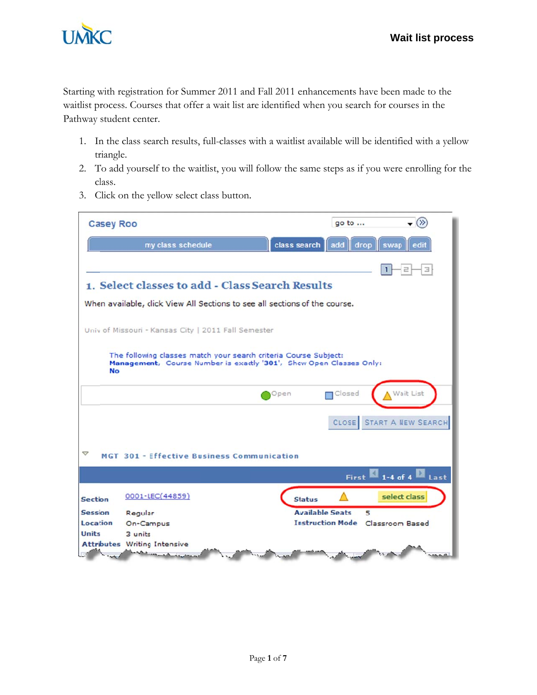

Starting with registration for Summer 2011 and Fall 2011 enhancements have been made to the waitlist process. Courses that offer a wait list are identified when you search for courses in the Pathway student center. d Fall 2011 enhancement<br>are identified when you se<br>with a waitlist available w<br>ll follow the same steps as enhancements have been made to the<br>d when you search for courses in the<br>st available will be identified with a yellow

- 1. In the class search results, full-classes with a waitlis tr riangle.
- 2. To add yourself to the waitlist, you will follow the same steps as if you were enrolling for the cl lass.
- 3. Click on the yellow select class button.

| <b>Casey Roo</b> |                                                                                                                                         |                        | go to                                   | $\mathbf{F}^{(2)}$                                |
|------------------|-----------------------------------------------------------------------------------------------------------------------------------------|------------------------|-----------------------------------------|---------------------------------------------------|
|                  | my class schedule                                                                                                                       | class search add       | drop                                    | edit<br>swap                                      |
|                  |                                                                                                                                         |                        |                                         |                                                   |
|                  | 1. Select classes to add - Class Search Results                                                                                         |                        |                                         |                                                   |
|                  | When available, click View All Sections to see all sections of the course.                                                              |                        |                                         |                                                   |
|                  |                                                                                                                                         |                        |                                         |                                                   |
|                  | Univ of Missouri - Kansas City   2011 Fall Semester                                                                                     |                        |                                         |                                                   |
|                  |                                                                                                                                         |                        |                                         |                                                   |
| <b>No</b>        | The following classes match your search criteria Course Subject:<br>Management, Course Number is exactly '301', Show Open Classes Only: |                        |                                         |                                                   |
|                  |                                                                                                                                         | Open                   | Closed                                  | Wait List                                         |
|                  |                                                                                                                                         |                        |                                         | CLOSE START A NEW SEARCH                          |
| ▽                | <b>MGT 301 - Effective Business Communication</b>                                                                                       |                        |                                         |                                                   |
|                  |                                                                                                                                         |                        |                                         |                                                   |
|                  |                                                                                                                                         |                        |                                         | First $\blacksquare$ 1-4 of 4 $\blacksquare$ Last |
| <b>Section</b>   | 0001-LEC(44859)                                                                                                                         | <b>Status</b>          |                                         | select class                                      |
| <b>Session</b>   | Regular                                                                                                                                 | <b>Available Seats</b> | 5                                       |                                                   |
| Location         | On-Campus                                                                                                                               |                        | <b>Instruction Mode</b> Classroom Based |                                                   |
| <b>Units</b>     | 3 units                                                                                                                                 |                        |                                         |                                                   |
|                  | <b>Attributes</b> Writing Intensive<br><u>respectively</u>                                                                              |                        |                                         |                                                   |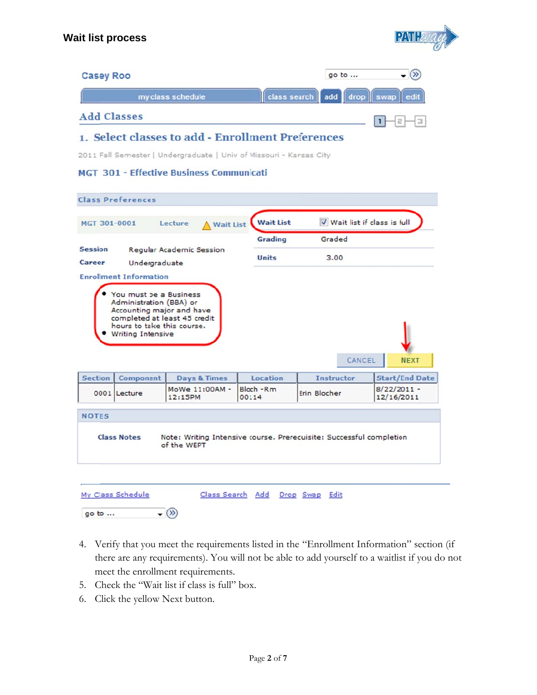

| <b>Casey Roo</b>   | go to                                                                                                    |  |
|--------------------|----------------------------------------------------------------------------------------------------------|--|
| my class schedule  | $\vert$ class search $\vert\vert$ add $\vert\vert$ drop $\vert\vert$ swap $\vert\vert$ edit $\vert\vert$ |  |
| <b>Add Classes</b> |                                                                                                          |  |

## 1. Select classes to add - Enrollment Preferences

2011 Fall Semester | Undergraduate | Univ of Missouri - Kansas City

## **MGT 301 - Effective Business Communicati**

|                          | <b>Class Preferences</b>                         |             |                         |                                 |                                                                     |                             |
|--------------------------|--------------------------------------------------|-------------|-------------------------|---------------------------------|---------------------------------------------------------------------|-----------------------------|
| MGT 301-0001             |                                                  | Lecture     | ∧ Wait List             | <b>Wait List</b>                |                                                                     | Wait list if class is full  |
|                          |                                                  |             |                         | Grading                         | Graded                                                              |                             |
| <b>Session</b><br>Career | <b>Regular Academic Session</b><br>Undergraduate |             |                         | <b>Units</b>                    | 3.00                                                                |                             |
|                          | <b>Enrolment Information</b>                     |             |                         |                                 |                                                                     |                             |
|                          | Writing Intensive                                |             |                         |                                 | CANCEL                                                              | <b>NEXT</b>                 |
| <b>Section</b>           | Component                                        |             | <b>Days &amp; Times</b> | Location                        | <b>Instructor</b>                                                   | <b>Start/End Date</b>       |
|                          | 0001 Lecture                                     | 12:15PM     | MoWe 11:00AM -          | Bloch - Rm<br>00114             | <b>Erin Blocher</b>                                                 | $8/22/2011 -$<br>12/16/2011 |
| <b>NOTES</b>             |                                                  |             |                         |                                 |                                                                     |                             |
|                          | <b>Class Notes</b>                               | of the WEPT |                         |                                 | Note: Writing Intensive course. Prerequisite: Successful completion |                             |
|                          | My Class Schedule                                |             |                         | Class Search Add Drop Swap Edit |                                                                     |                             |
| go to                    |                                                  | ◇           |                         |                                 |                                                                     |                             |

- 4. Verify that you meet the requirements listed in the "Enrollment Information" section (if there are any requirements). You will not be able to add yourself to a waitlist if you do not meet the enrollment requirements.
- 5. Check the "Wait list if class is full" box.
- 6. Click the yellow Next button.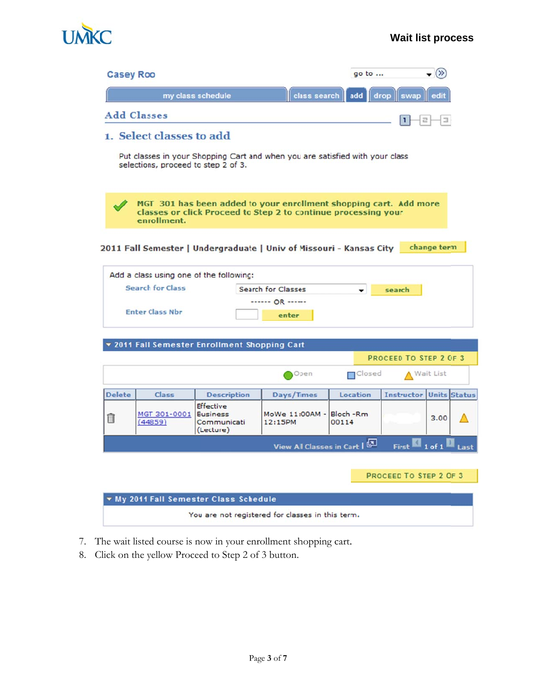



- 7. The wait listed course is now in your enrollment shopping cart.
- 8. Click on the yellow Proceed to Step 2 of 3 button.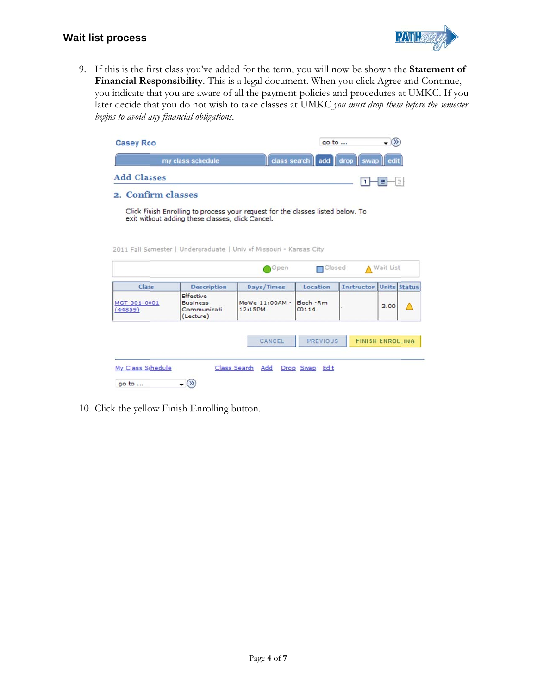

9. If this is the first class you've added for the term, you will now be shown the Statement of Financial Responsibility. This is a legal document. When you click Agree and Continue, you indicate that you are aware of all the payment policies and procedures at UMKC. If you later decide that you do not wish to take classes at UMKC you must drop them before the semester begins to avoid any financial obligations.

| <b>Casey Roo</b>        |                                                                                 |                           | go to               |               | $\langle \rangle$              |
|-------------------------|---------------------------------------------------------------------------------|---------------------------|---------------------|---------------|--------------------------------|
|                         | my class schedule                                                               | class search              |                     | add drop swap | edit                           |
| <b>Add Classes</b>      |                                                                                 |                           |                     | ı             | а                              |
| 2. Confirm classes      |                                                                                 |                           |                     |               |                                |
|                         | Click Finish Enrolling to process your request for the classes listed below. To |                           |                     |               |                                |
|                         | exit without adding these classes, click Cancel.                                |                           |                     |               |                                |
|                         |                                                                                 |                           |                     |               |                                |
|                         |                                                                                 |                           |                     |               |                                |
|                         |                                                                                 |                           |                     |               |                                |
|                         | 2011 Fall Semester   Undercraduate   Univ of Missouri - Kansas City             |                           |                     |               |                                |
|                         |                                                                                 |                           |                     |               |                                |
|                         |                                                                                 |                           |                     |               |                                |
|                         |                                                                                 | Open                      | <b>n</b> Closed     |               | A Wait List                    |
|                         |                                                                                 |                           |                     |               |                                |
| Class                   | <b>Description</b>                                                              | Days/Times                | Location            |               | <b>Instructor Units Status</b> |
|                         | Effective<br><b>Business</b><br>Communicati<br>(Lecture)                        | MoWe 11:00AM -<br>12:15PM | Bloch - Rm<br>00114 |               | 3.00<br>Λ                      |
|                         |                                                                                 |                           |                     |               |                                |
|                         |                                                                                 |                           |                     |               |                                |
|                         |                                                                                 | CANCEL                    | <b>PREVIOUS</b>     |               | <b>FINISH ENROLLING</b>        |
| MGT 301-0001<br>(44859) |                                                                                 |                           |                     |               |                                |
|                         |                                                                                 |                           |                     |               |                                |
|                         |                                                                                 | Class Search<br>Add       | Drop Swap Edit      |               |                                |
| My Class Schedule       | $\langle \rangle$                                                               |                           |                     |               |                                |

10. Click the yellow Finish Enrolling button.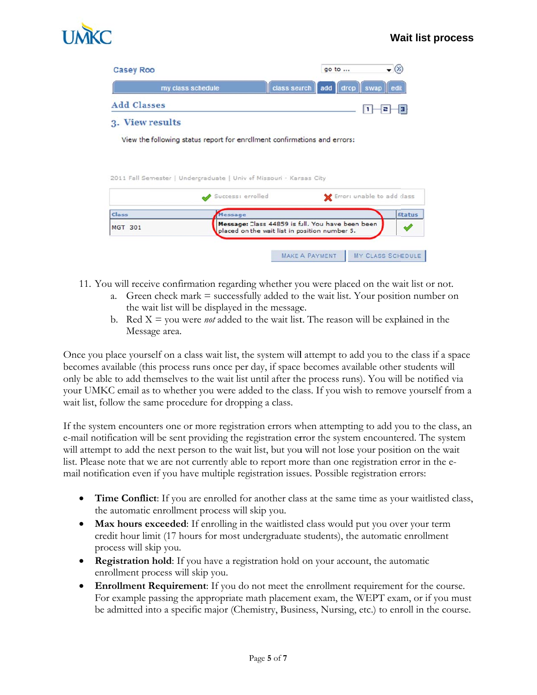

| <b>Casey Roo</b>   |                                                                           | $\mathbf{v}^{(2)}$<br>go to     |  |
|--------------------|---------------------------------------------------------------------------|---------------------------------|--|
|                    | my class schedule                                                         | class search add drop swap edit |  |
| <b>Add Classes</b> |                                                                           | -131<br>Е                       |  |
| 3. View results    | View the following status report for enrollment confirmations and errors: |                                 |  |
|                    | 2011 Fall Semester   Undergraduate   Univ of Missouri - Kansas City       |                                 |  |
|                    | Success: enrolled                                                         | Error: unable to add class      |  |

| <b>Class</b>   | Message                                                                                           | <b>Status</b> |
|----------------|---------------------------------------------------------------------------------------------------|---------------|
| <b>MGT 301</b> | Message: Class 44859 is full. You have been been<br>placed on the wait list in position number 5. |               |
|                |                                                                                                   |               |

- 11. You will receive confirmation regarding whether you were placed on the wait list or not.
	- a. Green check mark  $=$  successfully added to the wait list. Your position number on the wait list will be displayed in the message.
	- b. Red  $X = you$  were *not* added to the wait list. The reason will be explained in the Message area.

Once you place yourself on a class wait list, the system will attempt to add you to the class if a space becomes available (this process runs once per day, if space becomes available other students will only be able to add themselves to the wait list until after the process runs). You will be notified via your UMKC email as to whether you were added to the class. If you wish to remove yourself from a wait list, follow the same procedure for dropping a class.

If the system encounters one or more registration errors when attempting to add you to the class, an e-mail notification will be sent providing the registration error the system encountered. The system will attempt to add the next person to the wait list, but you will not lose your position on the wait list. Please note that we are not currently able to report more than one registration error in the email notification even if you have multiple registration issues. Possible registration errors:

- **Time Conflict:** If you are enrolled for another class at the same time as your waitlisted class, the automatic enrollment process will skip you.
- Max hours exceeded: If enrolling in the waitlisted class would put you over your term credit hour limit (17 hours for most undergraduate students), the automatic enrollment process will skip you.
- Registration hold: If you have a registration hold on your account, the automatic enrollment process will skip you.
- Enrollment Requirement: If you do not meet the enrollment requirement for the course. For example passing the appropriate math placement exam, the WEPT exam, or if you must be admitted into a specific major (Chemistry, Business, Nursing, etc.) to enroll in the course.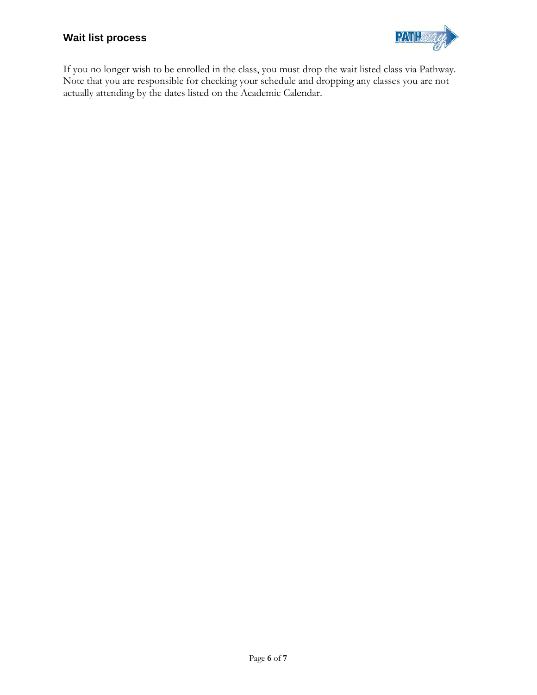

If you no longer wish to be enrolled in the class, you must drop the wait listed class via Pathway. Note that you are responsible for checking your schedule and dropping any classes you are not actually attending by the dates listed on the Academic Calendar.